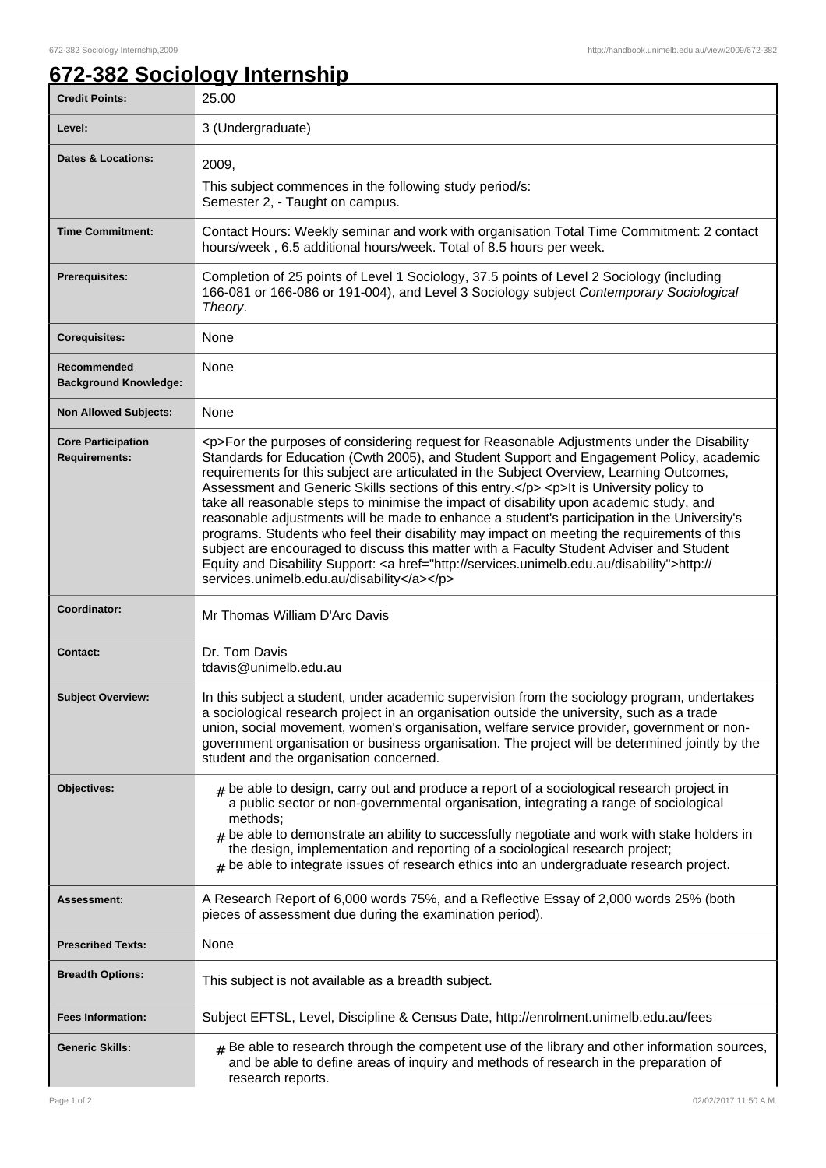٦

## **672-382 Sociology Internship**

| <b>Credit Points:</b>                             | 25.00                                                                                                                                                                                                                                                                                                                                                                                                                                                                                                                                                                                                                                                                                                                                                                                                                                                                                                                        |
|---------------------------------------------------|------------------------------------------------------------------------------------------------------------------------------------------------------------------------------------------------------------------------------------------------------------------------------------------------------------------------------------------------------------------------------------------------------------------------------------------------------------------------------------------------------------------------------------------------------------------------------------------------------------------------------------------------------------------------------------------------------------------------------------------------------------------------------------------------------------------------------------------------------------------------------------------------------------------------------|
| Level:                                            | 3 (Undergraduate)                                                                                                                                                                                                                                                                                                                                                                                                                                                                                                                                                                                                                                                                                                                                                                                                                                                                                                            |
| <b>Dates &amp; Locations:</b>                     | 2009,<br>This subject commences in the following study period/s:<br>Semester 2, - Taught on campus.                                                                                                                                                                                                                                                                                                                                                                                                                                                                                                                                                                                                                                                                                                                                                                                                                          |
| <b>Time Commitment:</b>                           | Contact Hours: Weekly seminar and work with organisation Total Time Commitment: 2 contact<br>hours/week, 6.5 additional hours/week. Total of 8.5 hours per week.                                                                                                                                                                                                                                                                                                                                                                                                                                                                                                                                                                                                                                                                                                                                                             |
| <b>Prerequisites:</b>                             | Completion of 25 points of Level 1 Sociology, 37.5 points of Level 2 Sociology (including<br>166-081 or 166-086 or 191-004), and Level 3 Sociology subject Contemporary Sociological<br>Theory.                                                                                                                                                                                                                                                                                                                                                                                                                                                                                                                                                                                                                                                                                                                              |
| <b>Corequisites:</b>                              | None                                                                                                                                                                                                                                                                                                                                                                                                                                                                                                                                                                                                                                                                                                                                                                                                                                                                                                                         |
| Recommended<br><b>Background Knowledge:</b>       | None                                                                                                                                                                                                                                                                                                                                                                                                                                                                                                                                                                                                                                                                                                                                                                                                                                                                                                                         |
| <b>Non Allowed Subjects:</b>                      | None                                                                                                                                                                                                                                                                                                                                                                                                                                                                                                                                                                                                                                                                                                                                                                                                                                                                                                                         |
| <b>Core Participation</b><br><b>Requirements:</b> | <p>For the purposes of considering request for Reasonable Adjustments under the Disability<br/>Standards for Education (Cwth 2005), and Student Support and Engagement Policy, academic<br/>requirements for this subject are articulated in the Subject Overview, Learning Outcomes,<br/>Assessment and Generic Skills sections of this entry.</p> <p>It is University policy to<br/>take all reasonable steps to minimise the impact of disability upon academic study, and<br/>reasonable adjustments will be made to enhance a student's participation in the University's<br/>programs. Students who feel their disability may impact on meeting the requirements of this<br/>subject are encouraged to discuss this matter with a Faculty Student Adviser and Student<br/>Equity and Disability Support: &lt; a href="http://services.unimelb.edu.au/disability"&gt;http://<br/>services.unimelb.edu.au/disability</p> |
| Coordinator:                                      | Mr Thomas William D'Arc Davis                                                                                                                                                                                                                                                                                                                                                                                                                                                                                                                                                                                                                                                                                                                                                                                                                                                                                                |
| <b>Contact:</b>                                   | Dr. Tom Davis<br>tdavis@unimelb.edu.au                                                                                                                                                                                                                                                                                                                                                                                                                                                                                                                                                                                                                                                                                                                                                                                                                                                                                       |
| <b>Subject Overview:</b>                          | In this subject a student, under academic supervision from the sociology program, undertakes<br>a sociological research project in an organisation outside the university, such as a trade<br>union, social movement, women's organisation, welfare service provider, government or non-<br>government organisation or business organisation. The project will be determined jointly by the<br>student and the organisation concerned.                                                                                                                                                                                                                                                                                                                                                                                                                                                                                       |
| Objectives:                                       | $#$ be able to design, carry out and produce a report of a sociological research project in<br>a public sector or non-governmental organisation, integrating a range of sociological<br>methods;<br>$#$ be able to demonstrate an ability to successfully negotiate and work with stake holders in<br>the design, implementation and reporting of a sociological research project;<br>$*$ be able to integrate issues of research ethics into an undergraduate research project.                                                                                                                                                                                                                                                                                                                                                                                                                                             |
| <b>Assessment:</b>                                | A Research Report of 6,000 words 75%, and a Reflective Essay of 2,000 words 25% (both<br>pieces of assessment due during the examination period).                                                                                                                                                                                                                                                                                                                                                                                                                                                                                                                                                                                                                                                                                                                                                                            |
| <b>Prescribed Texts:</b>                          | None                                                                                                                                                                                                                                                                                                                                                                                                                                                                                                                                                                                                                                                                                                                                                                                                                                                                                                                         |
| <b>Breadth Options:</b>                           | This subject is not available as a breadth subject.                                                                                                                                                                                                                                                                                                                                                                                                                                                                                                                                                                                                                                                                                                                                                                                                                                                                          |
| <b>Fees Information:</b>                          | Subject EFTSL, Level, Discipline & Census Date, http://enrolment.unimelb.edu.au/fees                                                                                                                                                                                                                                                                                                                                                                                                                                                                                                                                                                                                                                                                                                                                                                                                                                         |
| <b>Generic Skills:</b>                            | $#$ Be able to research through the competent use of the library and other information sources,<br>and be able to define areas of inquiry and methods of research in the preparation of<br>research reports.                                                                                                                                                                                                                                                                                                                                                                                                                                                                                                                                                                                                                                                                                                                 |